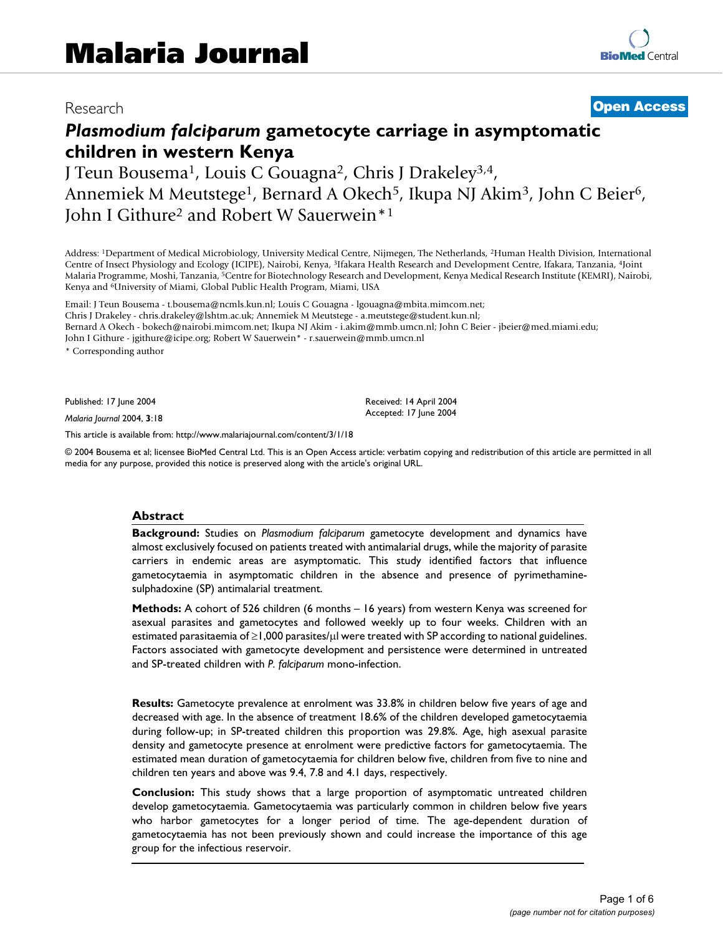Research **[Open Access](http://www.biomedcentral.com/info/about/charter/)**

# *Plasmodium falciparum* **gametocyte carriage in asymptomatic children in western Kenya**

J Teun Bousema1, Louis C Gouagna2, Chris J Drakeley3,4, Annemiek M Meutstege<sup>1</sup>, Bernard A Okech<sup>5</sup>, Ikupa NJ Akim<sup>3</sup>, John C Beier<sup>6</sup>, John I Githure2 and Robert W Sauerwein\*1

Address: 1Department of Medical Microbiology, University Medical Centre, Nijmegen, The Netherlands, 2Human Health Division, International Centre of Insect Physiology and Ecology (ICIPE), Nairobi, Kenya, 3Ifakara Health Research and Development Centre, Ifakara, Tanzania, 4Joint Malaria Programme, Moshi, Tanzania, 5Centre for Biotechnology Research and Development, Kenya Medical Research Institute (KEMRI), Nairobi, Kenya and 6University of Miami, Global Public Health Program, Miami, USA

Email: J Teun Bousema - t.bousema@ncmls.kun.nl; Louis C Gouagna - lgouagna@mbita.mimcom.net; Chris J Drakeley - chris.drakeley@lshtm.ac.uk; Annemiek M Meutstege - a.meutstege@student.kun.nl; Bernard A Okech - bokech@nairobi.mimcom.net; Ikupa NJ Akim - i.akim@mmb.umcn.nl; John C Beier - jbeier@med.miami.edu; John I Githure - jgithure@icipe.org; Robert W Sauerwein\* - r.sauerwein@mmb.umcn.nl

\* Corresponding author

Published: 17 June 2004

*Malaria Journal* 2004, **3**:18

[This article is available from: http://www.malariajournal.com/content/3/1/18](http://www.malariajournal.com/content/3/1/18)

Received: 14 April 2004 Accepted: 17 June 2004

© 2004 Bousema et al; licensee BioMed Central Ltd. This is an Open Access article: verbatim copying and redistribution of this article are permitted in all media for any purpose, provided this notice is preserved along with the article's original URL.

#### **Abstract**

**Background:** Studies on *Plasmodium falciparum* gametocyte development and dynamics have almost exclusively focused on patients treated with antimalarial drugs, while the majority of parasite carriers in endemic areas are asymptomatic. This study identified factors that influence gametocytaemia in asymptomatic children in the absence and presence of pyrimethaminesulphadoxine (SP) antimalarial treatment.

**Methods:** A cohort of 526 children (6 months – 16 years) from western Kenya was screened for asexual parasites and gametocytes and followed weekly up to four weeks. Children with an estimated parasitaemia of ≥1,000 parasites/µl were treated with SP according to national guidelines. Factors associated with gametocyte development and persistence were determined in untreated and SP-treated children with *P. falciparum* mono-infection.

**Results:** Gametocyte prevalence at enrolment was 33.8% in children below five years of age and decreased with age. In the absence of treatment 18.6% of the children developed gametocytaemia during follow-up; in SP-treated children this proportion was 29.8%. Age, high asexual parasite density and gametocyte presence at enrolment were predictive factors for gametocytaemia. The estimated mean duration of gametocytaemia for children below five, children from five to nine and children ten years and above was 9.4, 7.8 and 4.1 days, respectively.

**Conclusion:** This study shows that a large proportion of asymptomatic untreated children develop gametocytaemia. Gametocytaemia was particularly common in children below five years who harbor gametocytes for a longer period of time. The age-dependent duration of gametocytaemia has not been previously shown and could increase the importance of this age group for the infectious reservoir.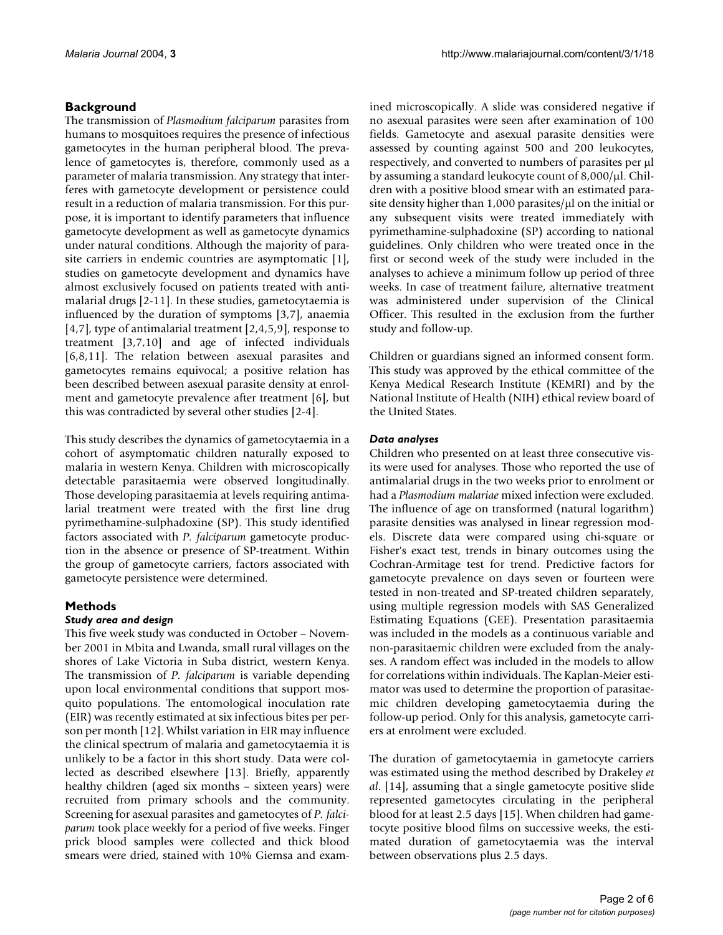# **Background**

The transmission of *Plasmodium falciparum* parasites from humans to mosquitoes requires the presence of infectious gametocytes in the human peripheral blood. The prevalence of gametocytes is, therefore, commonly used as a parameter of malaria transmission. Any strategy that interferes with gametocyte development or persistence could result in a reduction of malaria transmission. For this purpose, it is important to identify parameters that influence gametocyte development as well as gametocyte dynamics under natural conditions. Although the majority of parasite carriers in endemic countries are asymptomatic [1], studies on gametocyte development and dynamics have almost exclusively focused on patients treated with antimalarial drugs [\[2-](#page-4-0)11]. In these studies, gametocytaemia is influenced by the duration of symptoms [\[3](#page-4-1)[,7\]](#page-4-2), anaemia  $[4,7]$  $[4,7]$ , type of antimalarial treatment  $[2,4,5,9]$  $[2,4,5,9]$  $[2,4,5,9]$ , response to treatment [\[3,](#page-4-1)[7,](#page-4-2)[10\]](#page-5-0) and age of infected individuals [[6](#page-4-3)[,8,](#page-5-1)11]. The relation between asexual parasites and gametocytes remains equivocal; a positive relation has been described between asexual parasite density at enrolment and gametocyte prevalence after treatment [\[6\]](#page-4-3), but this was contradicted by several other studies [\[2-](#page-4-0)4].

This study describes the dynamics of gametocytaemia in a cohort of asymptomatic children naturally exposed to malaria in western Kenya. Children with microscopically detectable parasitaemia were observed longitudinally. Those developing parasitaemia at levels requiring antimalarial treatment were treated with the first line drug pyrimethamine-sulphadoxine (SP). This study identified factors associated with *P. falciparum* gametocyte production in the absence or presence of SP-treatment. Within the group of gametocyte carriers, factors associated with gametocyte persistence were determined.

# **Methods**

### *Study area and design*

This five week study was conducted in October – November 2001 in Mbita and Lwanda, small rural villages on the shores of Lake Victoria in Suba district, western Kenya. The transmission of *P. falciparum* is variable depending upon local environmental conditions that support mosquito populations. The entomological inoculation rate (EIR) was recently estimated at six infectious bites per person per month [12]. Whilst variation in EIR may influence the clinical spectrum of malaria and gametocytaemia it is unlikely to be a factor in this short study. Data were collected as described elsewhere [\[13\]](#page-5-2). Briefly, apparently healthy children (aged six months – sixteen years) were recruited from primary schools and the community. Screening for asexual parasites and gametocytes of *P. falciparum* took place weekly for a period of five weeks. Finger prick blood samples were collected and thick blood smears were dried, stained with 10% Giemsa and examined microscopically. A slide was considered negative if no asexual parasites were seen after examination of 100 fields. Gametocyte and asexual parasite densities were assessed by counting against 500 and 200 leukocytes, respectively, and converted to numbers of parasites per µl by assuming a standard leukocyte count of 8,000/µl. Children with a positive blood smear with an estimated parasite density higher than  $1,000$  parasites/ $\mu$ l on the initial or any subsequent visits were treated immediately with pyrimethamine-sulphadoxine (SP) according to national guidelines. Only children who were treated once in the first or second week of the study were included in the analyses to achieve a minimum follow up period of three weeks. In case of treatment failure, alternative treatment was administered under supervision of the Clinical Officer. This resulted in the exclusion from the further study and follow-up.

Children or guardians signed an informed consent form. This study was approved by the ethical committee of the Kenya Medical Research Institute (KEMRI) and by the National Institute of Health (NIH) ethical review board of the United States.

### *Data analyses*

Children who presented on at least three consecutive visits were used for analyses. Those who reported the use of antimalarial drugs in the two weeks prior to enrolment or had a *Plasmodium malariae* mixed infection were excluded. The influence of age on transformed (natural logarithm) parasite densities was analysed in linear regression models. Discrete data were compared using chi-square or Fisher's exact test, trends in binary outcomes using the Cochran-Armitage test for trend. Predictive factors for gametocyte prevalence on days seven or fourteen were tested in non-treated and SP-treated children separately, using multiple regression models with SAS Generalized Estimating Equations (GEE). Presentation parasitaemia was included in the models as a continuous variable and non-parasitaemic children were excluded from the analyses. A random effect was included in the models to allow for correlations within individuals. The Kaplan-Meier estimator was used to determine the proportion of parasitaemic children developing gametocytaemia during the follow-up period. Only for this analysis, gametocyte carriers at enrolment were excluded.

The duration of gametocytaemia in gametocyte carriers was estimated using the method described by Drakeley *et al*. [\[14](#page-5-3)], assuming that a single gametocyte positive slide represented gametocytes circulating in the peripheral blood for at least 2.5 days [\[15](#page-5-4)]. When children had gametocyte positive blood films on successive weeks, the estimated duration of gametocytaemia was the interval between observations plus 2.5 days.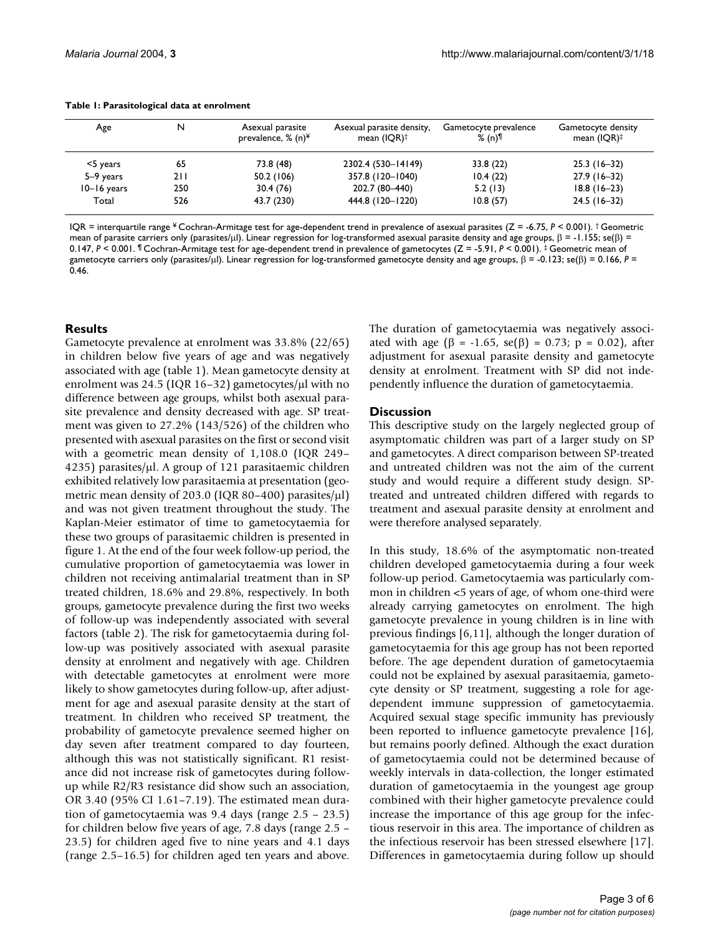| Age             | N   | Asexual parasite<br>prevalence, $% (n)$ <sup><math>\angle</math></sup> | Asexual parasite density,<br>mean $(IQR)^{\dagger}$ | Gametocyte prevalence<br>% (n)¶ | Gametocyte density<br>mean $(IQR)^{\ddagger}$ |
|-----------------|-----|------------------------------------------------------------------------|-----------------------------------------------------|---------------------------------|-----------------------------------------------|
| $<$ 5 years     | 65  | 73.8 (48)                                                              | 2302.4 (530-14149)                                  | 33.8(22)                        | $25.3(16-32)$                                 |
| $5-9$ years     | 211 | 50.2 (106)                                                             | 357.8 (120-1040)                                    | 10.4(22)                        | $27.9(16-32)$                                 |
| $10 - 16$ years | 250 | 30.4(76)                                                               | 202.7 (80-440)                                      | 5.2(13)                         | $18.8(16-23)$                                 |
| Total           | 526 | 43.7 (230)                                                             | 444.8 (120-1220)                                    | 10.8(57)                        | $24.5(16-32)$                                 |

#### <span id="page-2-0"></span>**Table 1: Parasitological data at enrolment**

IQR = interquartile range ¥ Cochran-Armitage test for age-dependent trend in prevalence of asexual parasites (Z = -6.75, *P* < 0.001). † Geometric mean of parasite carriers only (parasites/μl). Linear regression for log-transformed asexual parasite density and age groups,  $β = -1.155$ ; se( $β$ ) = 0.147, *P* < 0.001. ¶ Cochran-Armitage test for age-dependent trend in prevalence of gametocytes (Z = -5.91, *P* < 0.001). ‡ Geometric mean of gametocyte carriers only (parasites/µl). Linear regression for log-transformed gametocyte density and age groups, β = -0.123; se(β) = 0.166, *P* = 0.46.

#### **Results**

Gametocyte prevalence at enrolment was 33.8% (22/65) in children below five years of age and was negatively associated with age (table [1\)](#page-2-0). Mean gametocyte density at enrolment was 24.5 (IQR 16-32) gametocytes/µl with no difference between age groups, whilst both asexual parasite prevalence and density decreased with age. SP treatment was given to 27.2% (143/526) of the children who presented with asexual parasites on the first or second visit with a geometric mean density of 1,108.0 (IQR 249– 4235) parasites/µl. A group of 121 parasitaemic children exhibited relatively low parasitaemia at presentation (geometric mean density of 203.0 (IQR 80–400) parasites/µl) and was not given treatment throughout the study. The Kaplan-Meier estimator of time to gametocytaemia for these two groups of parasitaemic children is presented in figure [1.](#page-3-0) At the end of the four week follow-up period, the cumulative proportion of gametocytaemia was lower in children not receiving antimalarial treatment than in SP treated children, 18.6% and 29.8%, respectively. In both groups, gametocyte prevalence during the first two weeks of follow-up was independently associated with several factors (table [2\)](#page-4-4). The risk for gametocytaemia during follow-up was positively associated with asexual parasite density at enrolment and negatively with age. Children with detectable gametocytes at enrolment were more likely to show gametocytes during follow-up, after adjustment for age and asexual parasite density at the start of treatment. In children who received SP treatment, the probability of gametocyte prevalence seemed higher on day seven after treatment compared to day fourteen, although this was not statistically significant. R1 resistance did not increase risk of gametocytes during followup while R2/R3 resistance did show such an association, OR 3.40 (95% CI 1.61–7.19). The estimated mean duration of gametocytaemia was 9.4 days (range 2.5 – 23.5) for children below five years of age, 7.8 days (range 2.5 – 23.5) for children aged five to nine years and 4.1 days (range 2.5–16.5) for children aged ten years and above.

The duration of gametocytaemia was negatively associated with age (β = -1.65, se(β) = 0.73; p = 0.02), after adjustment for asexual parasite density and gametocyte density at enrolment. Treatment with SP did not independently influence the duration of gametocytaemia.

#### **Discussion**

This descriptive study on the largely neglected group of asymptomatic children was part of a larger study on SP and gametocytes. A direct comparison between SP-treated and untreated children was not the aim of the current study and would require a different study design. SPtreated and untreated children differed with regards to treatment and asexual parasite density at enrolment and were therefore analysed separately.

In this study, 18.6% of the asymptomatic non-treated children developed gametocytaemia during a four week follow-up period. Gametocytaemia was particularly common in children <5 years of age, of whom one-third were already carrying gametocytes on enrolment. The high gametocyte prevalence in young children is in line with previous findings [\[6,](#page-4-3)11], although the longer duration of gametocytaemia for this age group has not been reported before. The age dependent duration of gametocytaemia could not be explained by asexual parasitaemia, gametocyte density or SP treatment, suggesting a role for agedependent immune suppression of gametocytaemia. Acquired sexual stage specific immunity has previously been reported to influence gametocyte prevalence [\[16](#page-5-5)], but remains poorly defined. Although the exact duration of gametocytaemia could not be determined because of weekly intervals in data-collection, the longer estimated duration of gametocytaemia in the youngest age group combined with their higher gametocyte prevalence could increase the importance of this age group for the infectious reservoir in this area. The importance of children as the infectious reservoir has been stressed elsewhere [17]. Differences in gametocytaemia during follow up should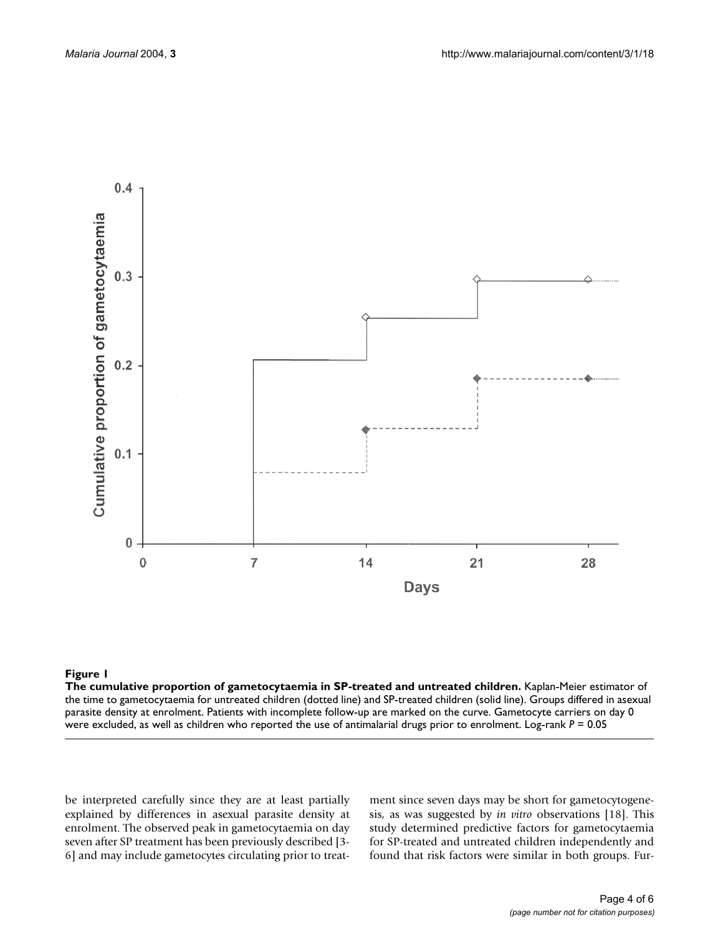<span id="page-3-0"></span>

#### Figure 1

**The cumulative proportion of gametocytaemia in SP-treated and untreated children.** Kaplan-Meier estimator of the time to gametocytaemia for untreated children (dotted line) and SP-treated children (solid line). Groups differed in asexual parasite density at enrolment. Patients with incomplete follow-up are marked on the curve. Gametocyte carriers on day 0 were excluded, as well as children who reported the use of antimalarial drugs prior to enrolment. Log-rank *P* = 0.05

be interpreted carefully since they are at least partially explained by differences in asexual parasite density at enrolment. The observed peak in gametocytaemia on day seven after SP treatment has been previously described [[3](#page-4-1)- [6\]](#page-4-3) and may include gametocytes circulating prior to treatment since seven days may be short for gametocytogenesis, as was suggested by *in vitro* observations [[18](#page-5-6)]. This study determined predictive factors for gametocytaemia for SP-treated and untreated children independently and found that risk factors were similar in both groups. Fur-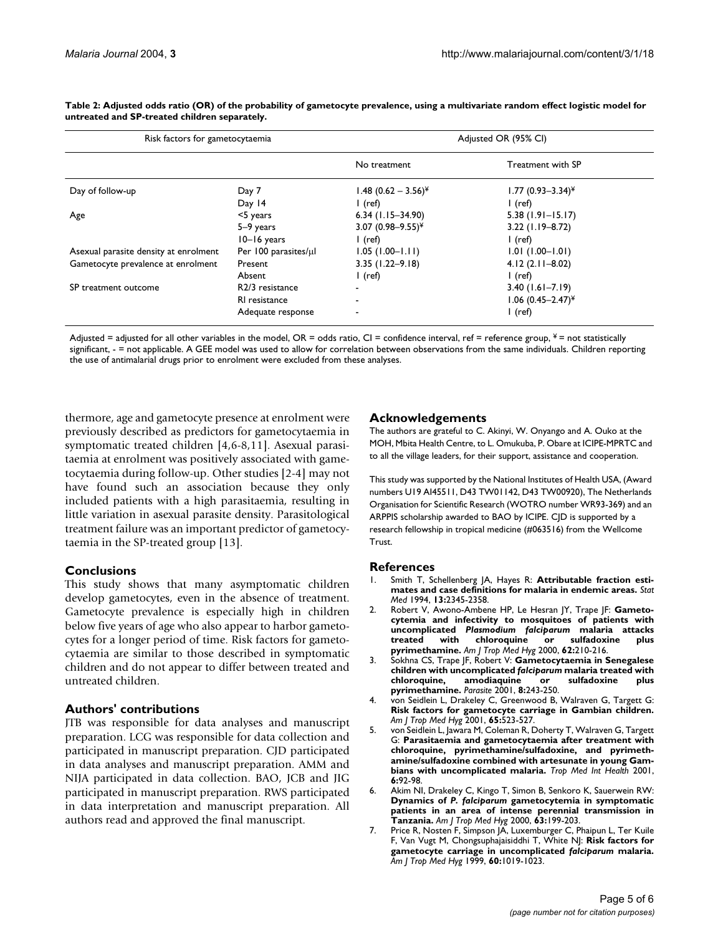| Risk factors for gametocytaemia       |                              | Adjusted OR (95% CI)              |                            |  |
|---------------------------------------|------------------------------|-----------------------------------|----------------------------|--|
|                                       |                              | No treatment                      | Treatment with SP          |  |
| Day of follow-up                      | Day 7                        | $1.48$ (0.62 – 3.56) <sup>¥</sup> | $1.77 (0.93 - 3.34)^{4}$   |  |
|                                       | Day 14                       | l (ref)                           | l (ref)                    |  |
| Age                                   | $<$ 5 years                  | $6.34$ (1.15-34.90)               | $5.38(1.91 - 15.17)$       |  |
|                                       | 5-9 years                    | 3.07 $(0.98 - 9.55)^{*}$          | $3.22$ (1.19-8.72)         |  |
|                                       | $10 - 16$ years              | l (ref)                           | I (ref)                    |  |
| Asexual parasite density at enrolment | Per 100 parasites/µl         | $1.05(1.00-1.11)$                 | $1.01$ (1.00-1.01)         |  |
| Gametocyte prevalence at enrolment    | Present                      | $3.35(1.22 - 9.18)$               | $4.12(2.11 - 8.02)$        |  |
|                                       | Absent                       | I (ref)                           | $l$ (ref)                  |  |
| SP treatment outcome                  | R <sub>2</sub> /3 resistance |                                   | $3.40(1.61 - 7.19)$        |  |
|                                       | <b>RI</b> resistance         |                                   | $1.06$ $(0.45 - 2.47)^{*}$ |  |
|                                       | Adequate response            | ۰                                 | l (ref)                    |  |

<span id="page-4-4"></span>**Table 2: Adjusted odds ratio (OR) of the probability of gametocyte prevalence, using a multivariate random effect logistic model for untreated and SP-treated children separately.**

Adjusted = adjusted for all other variables in the model, OR = odds ratio, CI = confidence interval, ref = reference group,  $*$  = not statistically significant, - = not applicable. A GEE model was used to allow for correlation between observations from the same individuals. Children reporting the use of antimalarial drugs prior to enrolment were excluded from these analyses.

thermore, age and gametocyte presence at enrolment were previously described as predictors for gametocytaemia in symptomatic treated children [4,[6](#page-4-3)[-8,](#page-5-1)11]. Asexual parasitaemia at enrolment was positively associated with gametocytaemia during follow-up. Other studies [[2](#page-4-0)-4] may not have found such an association because they only included patients with a high parasitaemia, resulting in little variation in asexual parasite density. Parasitological treatment failure was an important predictor of gametocytaemia in the SP-treated group [[13\]](#page-5-2).

### **Conclusions**

This study shows that many asymptomatic children develop gametocytes, even in the absence of treatment. Gametocyte prevalence is especially high in children below five years of age who also appear to harbor gametocytes for a longer period of time. Risk factors for gametocytaemia are similar to those described in symptomatic children and do not appear to differ between treated and untreated children.

# **Authors' contributions**

JTB was responsible for data analyses and manuscript preparation. LCG was responsible for data collection and participated in manuscript preparation. CJD participated in data analyses and manuscript preparation. AMM and NIJA participated in data collection. BAO, JCB and JIG participated in manuscript preparation. RWS participated in data interpretation and manuscript preparation. All authors read and approved the final manuscript.

# **Acknowledgements**

The authors are grateful to C. Akinyi, W. Onyango and A. Ouko at the MOH, Mbita Health Centre, to L. Omukuba, P. Obare at ICIPE-MPRTC and to all the village leaders, for their support, assistance and cooperation.

This study was supported by the National Institutes of Health USA, (Award numbers U19 AI45511, D43 TW01142, D43 TW00920), The Netherlands Organisation for Scientific Research (WOTRO number WR93-369) and an ARPPIS scholarship awarded to BAO by ICIPE. CJD is supported by a research fellowship in tropical medicine (#063516) from the Wellcome Trust.

#### **References**

- Smith T, Schellenberg JA, Hayes R: **[Attributable fraction esti](http://www.ncbi.nlm.nih.gov/entrez/query.fcgi?cmd=Retrieve&db=PubMed&dopt=Abstract&list_uids=7855468)[mates and case definitions for malaria in endemic areas.](http://www.ncbi.nlm.nih.gov/entrez/query.fcgi?cmd=Retrieve&db=PubMed&dopt=Abstract&list_uids=7855468)** *Stat Med* 1994, **13:**2345-2358.
- <span id="page-4-0"></span>2. Robert V, Awono-Ambene HP, Le Hesran JY, Trape JF: **Gametocytemia and infectivity to mosquitoes of patients with uncomplicated** *Plasmodium falciparum* **[malaria attacks](http://www.ncbi.nlm.nih.gov/entrez/query.fcgi?cmd=Retrieve&db=PubMed&dopt=Abstract&list_uids=10813475) [treated with chloroquine or sulfadoxine plus](http://www.ncbi.nlm.nih.gov/entrez/query.fcgi?cmd=Retrieve&db=PubMed&dopt=Abstract&list_uids=10813475) [pyrimethamine.](http://www.ncbi.nlm.nih.gov/entrez/query.fcgi?cmd=Retrieve&db=PubMed&dopt=Abstract&list_uids=10813475)** *Am J Trop Med Hyg* 2000, **62:**210-216.
- <span id="page-4-1"></span>3. Sokhna CS, Trape JF, Robert V: **Gametocytaemia in Senegalese children with uncomplicated** *falciparum* **[malaria treated with](http://www.ncbi.nlm.nih.gov/entrez/query.fcgi?cmd=Retrieve&db=PubMed&dopt=Abstract&list_uids=11584755) [chloroquine, amodiaquine or sulfadoxine plus](http://www.ncbi.nlm.nih.gov/entrez/query.fcgi?cmd=Retrieve&db=PubMed&dopt=Abstract&list_uids=11584755) [pyrimethamine.](http://www.ncbi.nlm.nih.gov/entrez/query.fcgi?cmd=Retrieve&db=PubMed&dopt=Abstract&list_uids=11584755)** *Parasite* 2001, **8:**243-250.
- 4. von Seidlein L, Drakeley C, Greenwood B, Walraven G, Targett G: **[Risk factors for gametocyte carriage in Gambian children.](http://www.ncbi.nlm.nih.gov/entrez/query.fcgi?cmd=Retrieve&db=PubMed&dopt=Abstract&list_uids=11716108)** *Am J Trop Med Hyg* 2001, **65:**523-527.
- 5. von Seidlein L, Jawara M, Coleman R, Doherty T, Walraven G, Targett G: **[Parasitaemia and gametocytaemia after treatment with](http://www.ncbi.nlm.nih.gov/entrez/query.fcgi?cmd=Retrieve&db=PubMed&dopt=Abstract&list_uids=10.1046/j.1365-3156.2001.00683.x) [chloroquine, pyrimethamine/sulfadoxine, and pyrimeth](http://www.ncbi.nlm.nih.gov/entrez/query.fcgi?cmd=Retrieve&db=PubMed&dopt=Abstract&list_uids=10.1046/j.1365-3156.2001.00683.x)amine/sulfadoxine combined with artesunate in young Gam[bians with uncomplicated malaria](http://www.ncbi.nlm.nih.gov/entrez/query.fcgi?cmd=Retrieve&db=PubMed&dopt=Abstract&list_uids=10.1046/j.1365-3156.2001.00683.x)[.](http://www.ncbi.nlm.nih.gov/entrez/query.fcgi?cmd=Retrieve&db=PubMed&dopt=Abstract&list_uids=11251903)** *Trop Med Int Health* 2001, **6:**92-98.
- <span id="page-4-3"></span>6. Akim NI, Drakeley C, Kingo T, Simon B, Senkoro K, Sauerwein RW: **Dynamics of** *P. falciparum* **[gametocytemia in symptomatic](http://www.ncbi.nlm.nih.gov/entrez/query.fcgi?cmd=Retrieve&db=PubMed&dopt=Abstract&list_uids=11388515) [patients in an area of intense perennial transmission in](http://www.ncbi.nlm.nih.gov/entrez/query.fcgi?cmd=Retrieve&db=PubMed&dopt=Abstract&list_uids=11388515) [Tanzania.](http://www.ncbi.nlm.nih.gov/entrez/query.fcgi?cmd=Retrieve&db=PubMed&dopt=Abstract&list_uids=11388515)** *Am J Trop Med Hyg* 2000, **63:**199-203.
- <span id="page-4-2"></span>7. Price R, Nosten F, Simpson JA, Luxemburger C, Phaipun L, Ter Kuile F, Van Vugt M, Chongsuphajaisiddhi T, White NJ: **Risk factors for gametocyte carriage in uncomplicated** *falciparum* **[malaria.](http://www.ncbi.nlm.nih.gov/entrez/query.fcgi?cmd=Retrieve&db=PubMed&dopt=Abstract&list_uids=10403336)** *Am J Trop Med Hyg* 1999, **60:**1019-1023.